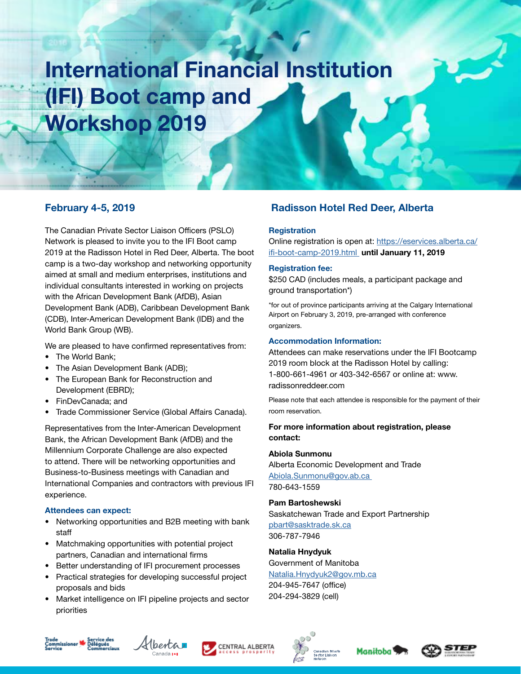# International Financial Institution (IFI) Boot camp and Workshop 2019

The Canadian Private Sector Liaison Officers (PSLO) Network is pleased to invite you to the IFI Boot camp 2019 at the Radisson Hotel in Red Deer, Alberta. The boot camp is a two-day workshop and networking opportunity aimed at small and medium enterprises, institutions and individual consultants interested in working on projects with the African Development Bank (AfDB), Asian Development Bank (ADB), Caribbean Development Bank (CDB), Inter-American Development Bank (IDB) and the World Bank Group (WB).

We are pleased to have confirmed representatives from:

- The World Bank:
- The Asian Development Bank (ADB);
- The European Bank for Reconstruction and Development (EBRD);
- FinDevCanada; and
- Trade Commissioner Service (Global Affairs Canada).

Representatives from the Inter-American Development Bank, the African Development Bank (AfDB) and the Millennium Corporate Challenge are also expected to attend. There will be networking opportunities and Business-to-Business meetings with Canadian and International Companies and contractors with previous IFI experience.

#### Attendees can expect:

- Networking opportunities and B2B meeting with bank staff
- Matchmaking opportunities with potential project partners, Canadian and international firms
- Better understanding of IFI procurement processes
- Practical strategies for developing successful project proposals and bids
- Market intelligence on IFI pipeline projects and sector priorities

## February 4-5, 2019 **Radisson Hotel Red Deer, Alberta**

#### **Registration**

Online registration is open at: [https://eservices.alberta.ca/](https://eservices.alberta.ca/ifi-boot-camp-2019.html) [ifi-boot-camp-2019.html](https://eservices.alberta.ca/ifi-boot-camp-2019.html) until January 11, 2019

#### Registration fee:

\$250 CAD (includes meals, a participant package and ground transportation\*)

\*for out of province participants arriving at the Calgary International Airport on February 3, 2019, pre-arranged with conference organizers.

#### Accommodation Information:

Attendees can make reservations under the IFI Bootcamp 2019 room block at the Radisson Hotel by calling: 1-800-661-4961 or 403-342-6567 or online at: www. radissonreddeer.com

Please note that each attendee is responsible for the payment of their room reservation.

#### For more information about registration, please contact:

#### Abiola Sunmonu

Alberta Economic Development and Trade [Abiola.Sunmonu@gov.ab.ca](mailto:Abiola.Sunmonu@gov.ab.ca)  780-643-1559

#### Pam Bartoshewski

Saskatchewan Trade and Export Partnership [pbart@sasktrade.sk.ca](mailto:pbart@sasktrade.sk.ca)  306-787-7946

#### Natalia Hnydyuk

Government of Manitoba [Natalia.Hnydyuk2@gov.mb.ca](mailto:Natalia.Hnydyuk2@gov.mb.ca
) 204-945-7647 (office) 204-294-3829 (cell)











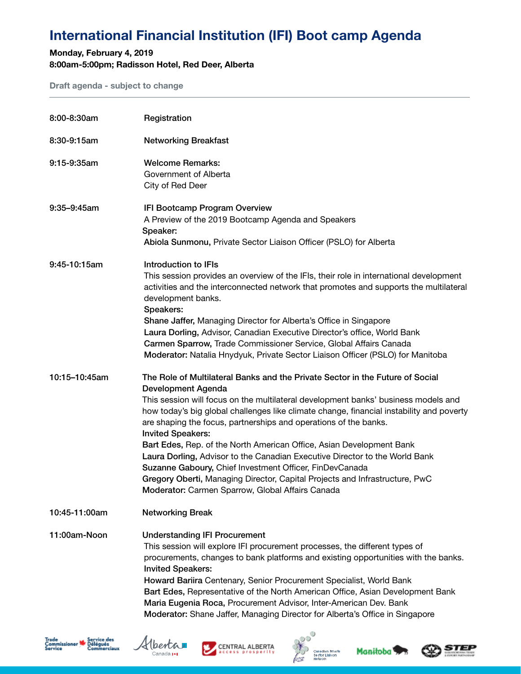# International Financial Institution (IFI) Boot camp Agenda

### Monday, February 4, 2019 8:00am-5:00pm; Radisson Hotel, Red Deer, Alberta

Draft agenda - subject to change

| 8:00-8:30am      | Registration                                                                                                                                                                                                                                                                                                                                                                                                                                                                                                                                                                                                                                                                                                                               |
|------------------|--------------------------------------------------------------------------------------------------------------------------------------------------------------------------------------------------------------------------------------------------------------------------------------------------------------------------------------------------------------------------------------------------------------------------------------------------------------------------------------------------------------------------------------------------------------------------------------------------------------------------------------------------------------------------------------------------------------------------------------------|
| 8:30-9:15am      | <b>Networking Breakfast</b>                                                                                                                                                                                                                                                                                                                                                                                                                                                                                                                                                                                                                                                                                                                |
| $9:15-9:35am$    | <b>Welcome Remarks:</b><br>Government of Alberta<br>City of Red Deer                                                                                                                                                                                                                                                                                                                                                                                                                                                                                                                                                                                                                                                                       |
| $9:35 - 9:45$ am | IFI Bootcamp Program Overview<br>A Preview of the 2019 Bootcamp Agenda and Speakers<br>Speaker:<br>Abiola Sunmonu, Private Sector Liaison Officer (PSLO) for Alberta                                                                                                                                                                                                                                                                                                                                                                                                                                                                                                                                                                       |
| 9:45-10:15am     | Introduction to IFIs<br>This session provides an overview of the IFIs, their role in international development<br>activities and the interconnected network that promotes and supports the multilateral<br>development banks.<br>Speakers:<br>Shane Jaffer, Managing Director for Alberta's Office in Singapore<br>Laura Dorling, Advisor, Canadian Executive Director's office, World Bank<br>Carmen Sparrow, Trade Commissioner Service, Global Affairs Canada<br>Moderator: Natalia Hnydyuk, Private Sector Liaison Officer (PSLO) for Manitoba                                                                                                                                                                                         |
| 10:15-10:45am    | The Role of Multilateral Banks and the Private Sector in the Future of Social<br>Development Agenda<br>This session will focus on the multilateral development banks' business models and<br>how today's big global challenges like climate change, financial instability and poverty<br>are shaping the focus, partnerships and operations of the banks.<br><b>Invited Speakers:</b><br>Bart Edes, Rep. of the North American Office, Asian Development Bank<br>Laura Dorling, Advisor to the Canadian Executive Director to the World Bank<br>Suzanne Gaboury, Chief Investment Officer, FinDevCanada<br>Gregory Oberti, Managing Director, Capital Projects and Infrastructure, PwC<br>Moderator: Carmen Sparrow, Global Affairs Canada |
| 10:45-11:00am    | <b>Networking Break</b>                                                                                                                                                                                                                                                                                                                                                                                                                                                                                                                                                                                                                                                                                                                    |
| 11:00am-Noon     | <b>Understanding IFI Procurement</b><br>This session will explore IFI procurement processes, the different types of<br>procurements, changes to bank platforms and existing opportunities with the banks.<br><b>Invited Speakers:</b><br>Howard Bariira Centenary, Senior Procurement Specialist, World Bank<br>Bart Edes, Representative of the North American Office, Asian Development Bank<br>Maria Eugenia Roca, Procurement Advisor, Inter-American Dev. Bank<br>Moderator: Shane Jaffer, Managing Director for Alberta's Office in Singapore                                                                                                                                                                                        |











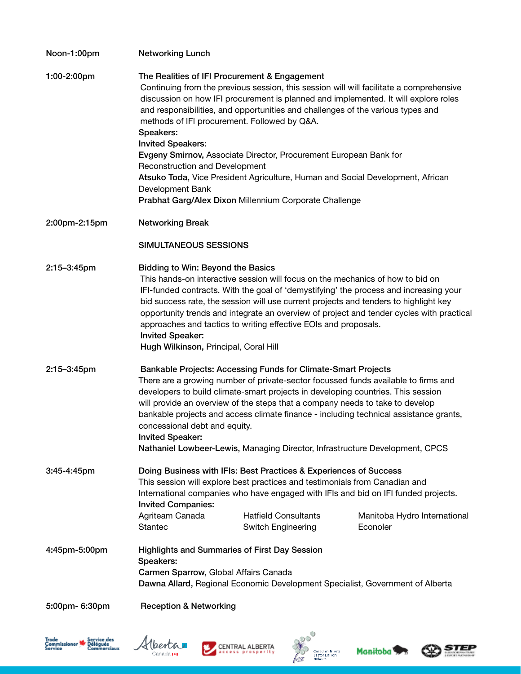| Noon-1:00pm    | <b>Networking Lunch</b>                                                                                                                                                                                                                                                                                                                                                                                                                                                                                                                        |                                                                                                                                                                                                                                                                                                                                                                                                                                                                                                                                    |                                                                                                                                                                                |  |
|----------------|------------------------------------------------------------------------------------------------------------------------------------------------------------------------------------------------------------------------------------------------------------------------------------------------------------------------------------------------------------------------------------------------------------------------------------------------------------------------------------------------------------------------------------------------|------------------------------------------------------------------------------------------------------------------------------------------------------------------------------------------------------------------------------------------------------------------------------------------------------------------------------------------------------------------------------------------------------------------------------------------------------------------------------------------------------------------------------------|--------------------------------------------------------------------------------------------------------------------------------------------------------------------------------|--|
| 1:00-2:00pm    | Speakers:<br><b>Invited Speakers:</b>                                                                                                                                                                                                                                                                                                                                                                                                                                                                                                          | The Realities of IFI Procurement & Engagement<br>and responsibilities, and opportunities and challenges of the various types and<br>methods of IFI procurement. Followed by Q&A.<br>Evgeny Smirnov, Associate Director, Procurement European Bank for                                                                                                                                                                                                                                                                              | Continuing from the previous session, this session will will facilitate a comprehensive<br>discussion on how IFI procurement is planned and implemented. It will explore roles |  |
|                | Reconstruction and Development<br>Atsuko Toda, Vice President Agriculture, Human and Social Development, African<br>Development Bank                                                                                                                                                                                                                                                                                                                                                                                                           |                                                                                                                                                                                                                                                                                                                                                                                                                                                                                                                                    |                                                                                                                                                                                |  |
|                |                                                                                                                                                                                                                                                                                                                                                                                                                                                                                                                                                | Prabhat Garg/Alex Dixon Millennium Corporate Challenge                                                                                                                                                                                                                                                                                                                                                                                                                                                                             |                                                                                                                                                                                |  |
| 2:00pm-2:15pm  | <b>Networking Break</b>                                                                                                                                                                                                                                                                                                                                                                                                                                                                                                                        |                                                                                                                                                                                                                                                                                                                                                                                                                                                                                                                                    |                                                                                                                                                                                |  |
|                | SIMULTANEOUS SESSIONS                                                                                                                                                                                                                                                                                                                                                                                                                                                                                                                          |                                                                                                                                                                                                                                                                                                                                                                                                                                                                                                                                    |                                                                                                                                                                                |  |
| 2:15-3:45pm    | <b>Bidding to Win: Beyond the Basics</b><br>This hands-on interactive session will focus on the mechanics of how to bid on<br>IFI-funded contracts. With the goal of 'demystifying' the process and increasing your<br>bid success rate, the session will use current projects and tenders to highlight key<br>opportunity trends and integrate an overview of project and tender cycles with practical<br>approaches and tactics to writing effective EOIs and proposals.<br><b>Invited Speaker:</b><br>Hugh Wilkinson, Principal, Coral Hill |                                                                                                                                                                                                                                                                                                                                                                                                                                                                                                                                    |                                                                                                                                                                                |  |
| 2:15-3:45pm    | <b>Invited Speaker:</b>                                                                                                                                                                                                                                                                                                                                                                                                                                                                                                                        | Bankable Projects: Accessing Funds for Climate-Smart Projects<br>There are a growing number of private-sector focussed funds available to firms and<br>developers to build climate-smart projects in developing countries. This session<br>will provide an overview of the steps that a company needs to take to develop<br>bankable projects and access climate finance - including technical assistance grants,<br>concessional debt and equity.<br>Nathaniel Lowbeer-Lewis, Managing Director, Infrastructure Development, CPCS |                                                                                                                                                                                |  |
| 3:45-4:45pm    | Doing Business with IFIs: Best Practices & Experiences of Success<br>This session will explore best practices and testimonials from Canadian and<br>International companies who have engaged with IFIs and bid on IFI funded projects.<br><b>Invited Companies:</b>                                                                                                                                                                                                                                                                            |                                                                                                                                                                                                                                                                                                                                                                                                                                                                                                                                    |                                                                                                                                                                                |  |
|                | Agriteam Canada<br>Stantec                                                                                                                                                                                                                                                                                                                                                                                                                                                                                                                     | <b>Hatfield Consultants</b><br><b>Switch Engineering</b>                                                                                                                                                                                                                                                                                                                                                                                                                                                                           | Manitoba Hydro International<br>Econoler                                                                                                                                       |  |
| 4:45pm-5:00pm  | Speakers:                                                                                                                                                                                                                                                                                                                                                                                                                                                                                                                                      | <b>Highlights and Summaries of First Day Session</b><br>Carmen Sparrow, Global Affairs Canada<br>Dawna Allard, Regional Economic Development Specialist, Government of Alberta                                                                                                                                                                                                                                                                                                                                                     |                                                                                                                                                                                |  |
| 5:00pm- 6:30pm | <b>Reception &amp; Networking</b>                                                                                                                                                                                                                                                                                                                                                                                                                                                                                                              |                                                                                                                                                                                                                                                                                                                                                                                                                                                                                                                                    |                                                                                                                                                                                |  |